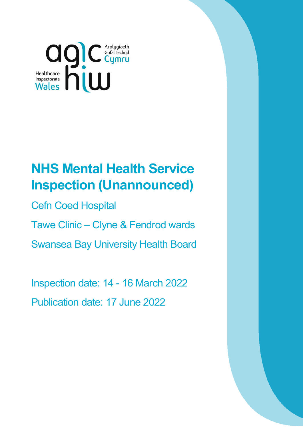

# **NHS Mental Health Service Inspection (Unannounced)**

Cefn Coed Hospital

Tawe Clinic – Clyne & Fendrod wards

Swansea Bay University Health Board

Inspection date: 14 - 16 March 2022 Publication date: 17 June 2022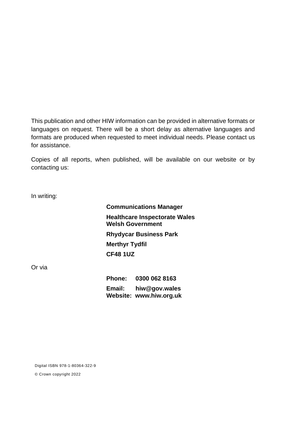This publication and other HIW information can be provided in alternative formats or languages on request. There will be a short delay as alternative languages and formats are produced when requested to meet individual needs. Please contact us for assistance.

Copies of all reports, when published, will be available on our website or by contacting us:

In writing:

**Communications Manager Healthcare Inspectorate Wales Welsh Government Rhydycar Business Park Merthyr Tydfil CF48 1UZ**

Or via

**Phone: 0300 062 8163 Email: [hiw@gov.wales](mailto:hiw@gov.wales) Website: [www.hiw.org.uk](http://www.hiw.org.uk/)**

Digital ISBN 978-1-80364-322-9

© Crown copyright 2022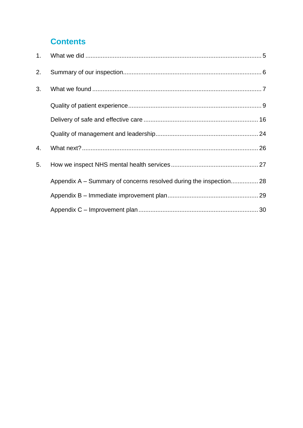## **Contents**

| 2. |                                                                    |  |
|----|--------------------------------------------------------------------|--|
| 3. |                                                                    |  |
|    |                                                                    |  |
|    |                                                                    |  |
|    |                                                                    |  |
| 4. |                                                                    |  |
| 5. |                                                                    |  |
|    | Appendix A – Summary of concerns resolved during the inspection 28 |  |
|    |                                                                    |  |
|    |                                                                    |  |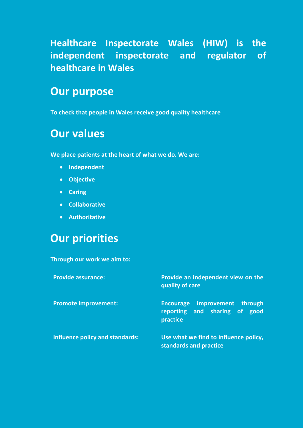**Healthcare Inspectorate Wales (HIW) is the independent inspectorate and regulator of healthcare in Wales** 

## **Our purpose**

**To check that people in Wales receive good quality healthcare**

# **Our values**

**We place patients at the heart of what we do. We are:**

- **Independent**
- **Objective**
- **Caring**
- **Collaborative**
- **Authoritative**

# **Our priorities**

**Through our work we aim to:** 

| <b>Provide assurance:</b>       | Provide an independent view on the<br>quality of care                                |  |  |
|---------------------------------|--------------------------------------------------------------------------------------|--|--|
| <b>Promote improvement:</b>     | improvement through<br><b>Encourage</b><br>reporting and sharing of good<br>practice |  |  |
| Influence policy and standards: | Use what we find to influence policy,<br>standards and practice                      |  |  |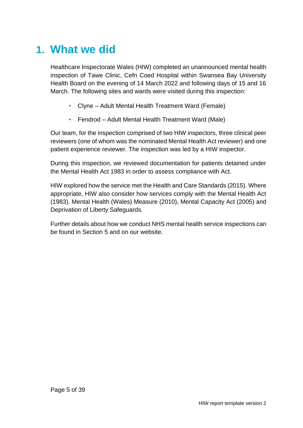# <span id="page-4-0"></span>**1. What we did**

Healthcare Inspectorate Wales (HIW) completed an unannounced mental health inspection of Tawe Clinic, Cefn Coed Hospital within Swansea Bay University Health Board on the evening of 14 March 2022 and following days of 15 and 16 March. The following sites and wards were visited during this inspection:

- Clyne Adult Mental Health Treatment Ward (Female)
- Fendrod Adult Mental Health Treatment Ward (Male)

Our team, for the inspection comprised of two HIW inspectors, three clinical peer reviewers (one of whom was the nominated Mental Health Act reviewer) and one patient experience reviewer. The inspection was led by a HIW inspector.

During this inspection, we reviewed documentation for patients detained under the Mental Health Act 1983 in order to assess compliance with Act.

HIW explored how the service met the Health and Care Standards (2015). Where appropriate, HIW also consider how services comply with the Mental Health Act (1983), Mental Health (Wales) Measure (2010), Mental Capacity Act (2005) and Deprivation of Liberty Safeguards.

Further details about how we conduct NHS mental health service inspections can be found in Section 5 and on our website.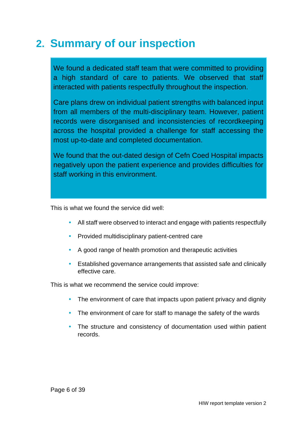# <span id="page-5-0"></span>**2. Summary of our inspection**

We found a dedicated staff team that were committed to providing a high standard of care to patients. We observed that staff interacted with patients respectfully throughout the inspection.

Care plans drew on individual patient strengths with balanced input from all members of the multi-disciplinary team. However, patient records were disorganised and inconsistencies of recordkeeping across the hospital provided a challenge for staff accessing the most up-to-date and completed documentation.

We found that the out-dated design of Cefn Coed Hospital impacts negatively upon the patient experience and provides difficulties for staff working in this environment.

This is what we found the service did well:

- All staff were observed to interact and engage with patients respectfully
- Provided multidisciplinary patient-centred care
- A good range of health promotion and therapeutic activities
- Established governance arrangements that assisted safe and clinically effective care.

This is what we recommend the service could improve:

- The environment of care that impacts upon patient privacy and dignity
- The environment of care for staff to manage the safety of the wards
- The structure and consistency of documentation used within patient records.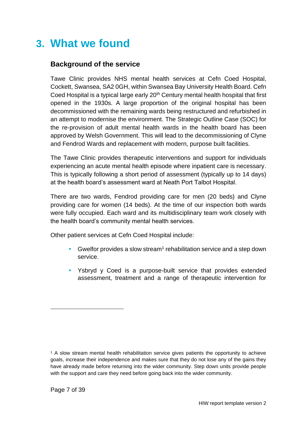# <span id="page-6-0"></span>**3. What we found**

## **Background of the service**

Tawe Clinic provides NHS mental health services at Cefn Coed Hospital, Cockett, Swansea, SA2 0GH, within Swansea Bay University Health Board. Cefn Coed Hospital is a typical large early 20<sup>th</sup> Century mental health hospital that first opened in the 1930s. A large proportion of the original hospital has been decommissioned with the remaining wards being restructured and refurbished in an attempt to modernise the environment. The Strategic Outline Case (SOC) for the re-provision of adult mental health wards in the health board has been approved by Welsh Government. This will lead to the decommissioning of Clyne and Fendrod Wards and replacement with modern, purpose built facilities.

The Tawe Clinic provides therapeutic interventions and support for individuals experiencing an acute mental health episode where inpatient care is necessary. This is typically following a short period of assessment (typically up to 14 days) at the health board's assessment ward at Neath Port Talbot Hospital.

There are two wards, Fendrod providing care for men (20 beds) and Clyne providing care for women (14 beds). At the time of our inspection both wards were fully occupied. Each ward and its multidisciplinary team work closely with the health board's community mental health services.

Other patient services at Cefn Coed Hospital include:

- Gwelfor provides a slow stream<sup>1</sup> rehabilitation service and a step down service.
- Ysbryd y Coed is a purpose-built service that provides extended assessment, treatment and a range of therapeutic intervention for

<sup>1</sup> A slow stream mental health rehabilitation service gives patients the opportunity to achieve goals, increase their independence and makes sure that they do not lose any of the gains they have already made before returning into the wider community. Step down units provide people with the support and care they need before going back into the wider community.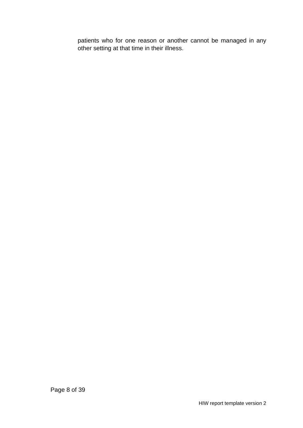patients who for one reason or another cannot be managed in any other setting at that time in their illness.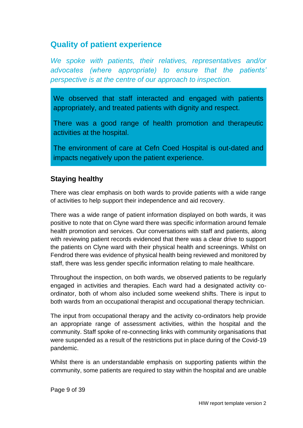## <span id="page-8-0"></span>**Quality of patient experience**

*We spoke with patients, their relatives, representatives and/or advocates (where appropriate) to ensure that the patients' perspective is at the centre of our approach to inspection.*

We observed that staff interacted and engaged with patients appropriately, and treated patients with dignity and respect.

There was a good range of health promotion and therapeutic activities at the hospital.

The environment of care at Cefn Coed Hospital is out-dated and impacts negatively upon the patient experience.

### **Staying healthy**

There was clear emphasis on both wards to provide patients with a wide range of activities to help support their independence and aid recovery.

There was a wide range of patient information displayed on both wards, it was positive to note that on Clyne ward there was specific information around female health promotion and services. Our conversations with staff and patients, along with reviewing patient records evidenced that there was a clear drive to support the patients on Clyne ward with their physical health and screenings. Whilst on Fendrod there was evidence of physical health being reviewed and monitored by staff, there was less gender specific information relating to male healthcare.

Throughout the inspection, on both wards, we observed patients to be regularly engaged in activities and therapies. Each ward had a designated activity coordinator, both of whom also included some weekend shifts. There is input to both wards from an occupational therapist and occupational therapy technician.

The input from occupational therapy and the activity co-ordinators help provide an appropriate range of assessment activities, within the hospital and the community. Staff spoke of re-connecting links with community organisations that were suspended as a result of the restrictions put in place during of the Covid-19 pandemic.

Whilst there is an understandable emphasis on supporting patients within the community, some patients are required to stay within the hospital and are unable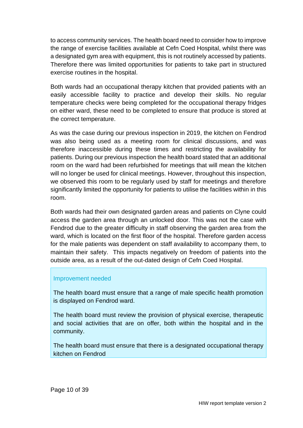to access community services. The health board need to consider how to improve the range of exercise facilities available at Cefn Coed Hospital, whilst there was a designated gym area with equipment, this is not routinely accessed by patients. Therefore there was limited opportunities for patients to take part in structured exercise routines in the hospital.

Both wards had an occupational therapy kitchen that provided patients with an easily accessible facility to practice and develop their skills. No regular temperature checks were being completed for the occupational therapy fridges on either ward, these need to be completed to ensure that produce is stored at the correct temperature.

As was the case during our previous inspection in 2019, the kitchen on Fendrod was also being used as a meeting room for clinical discussions, and was therefore inaccessible during these times and restricting the availability for patients. During our previous inspection the health board stated that an additional room on the ward had been refurbished for meetings that will mean the kitchen will no longer be used for clinical meetings. However, throughout this inspection, we observed this room to be regularly used by staff for meetings and therefore significantly limited the opportunity for patients to utilise the facilities within in this room.

Both wards had their own designated garden areas and patients on Clyne could access the garden area through an unlocked door. This was not the case with Fendrod due to the greater difficulty in staff observing the garden area from the ward, which is located on the first floor of the hospital. Therefore garden access for the male patients was dependent on staff availability to accompany them, to maintain their safety. This impacts negatively on freedom of patients into the outside area, as a result of the out-dated design of Cefn Coed Hospital.

#### Improvement needed

The health board must ensure that a range of male specific health promotion is displayed on Fendrod ward.

The health board must review the provision of physical exercise, therapeutic and social activities that are on offer, both within the hospital and in the community.

The health board must ensure that there is a designated occupational therapy kitchen on Fendrod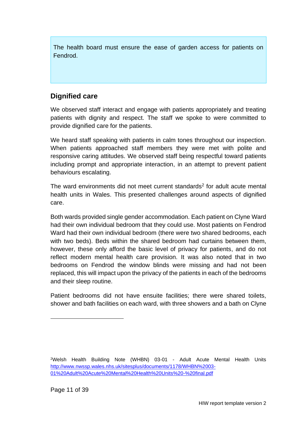The health board must ensure the ease of garden access for patients on Fendrod.

## **Dignified care**

We observed staff interact and engage with patients appropriately and treating patients with dignity and respect. The staff we spoke to were committed to provide dignified care for the patients.

We heard staff speaking with patients in calm tones throughout our inspection. When patients approached staff members they were met with polite and responsive caring attitudes. We observed staff being respectful toward patients including prompt and appropriate interaction, in an attempt to prevent patient behaviours escalating.

The ward environments did not meet current standards<sup>2</sup> for adult acute mental health units in Wales. This presented challenges around aspects of dignified care.

Both wards provided single gender accommodation. Each patient on Clyne Ward had their own individual bedroom that they could use. Most patients on Fendrod Ward had their own individual bedroom (there were two shared bedrooms, each with two beds). Beds within the shared bedroom had curtains between them, however, these only afford the basic level of privacy for patients, and do not reflect modern mental health care provision. It was also noted that in two bedrooms on Fendrod the window blinds were missing and had not been replaced, this will impact upon the privacy of the patients in each of the bedrooms and their sleep routine.

Patient bedrooms did not have ensuite facilities; there were shared toilets, shower and bath facilities on each ward, with three showers and a bath on Clyne

<sup>2</sup>Welsh Health Building Note (WHBN) 03-01 - Adult Acute Mental Health Units [http://www.nwssp.wales.nhs.uk/sitesplus/documents/1178/WHBN%2003-](http://www.nwssp.wales.nhs.uk/sitesplus/documents/1178/WHBN%2003-01%20Adult%20Acute%20Mental%20Health%20Units%20-%20final.pdf) [01%20Adult%20Acute%20Mental%20Health%20Units%20-%20final.pdf](http://www.nwssp.wales.nhs.uk/sitesplus/documents/1178/WHBN%2003-01%20Adult%20Acute%20Mental%20Health%20Units%20-%20final.pdf)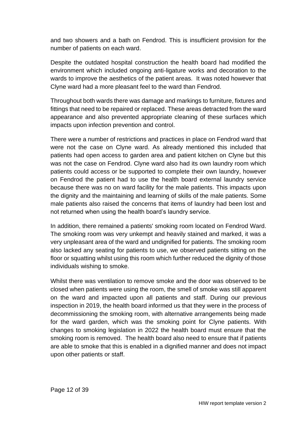and two showers and a bath on Fendrod. This is insufficient provision for the number of patients on each ward.

Despite the outdated hospital construction the health board had modified the environment which included ongoing anti-ligature works and decoration to the wards to improve the aesthetics of the patient areas. It was noted however that Clyne ward had a more pleasant feel to the ward than Fendrod.

Throughout both wards there was damage and markings to furniture, fixtures and fittings that need to be repaired or replaced. These areas detracted from the ward appearance and also prevented appropriate cleaning of these surfaces which impacts upon infection prevention and control.

There were a number of restrictions and practices in place on Fendrod ward that were not the case on Clyne ward. As already mentioned this included that patients had open access to garden area and patient kitchen on Clyne but this was not the case on Fendrod. Clyne ward also had its own laundry room which patients could access or be supported to complete their own laundry, however on Fendrod the patient had to use the health board external laundry service because there was no on ward facility for the male patients. This impacts upon the dignity and the maintaining and learning of skills of the male patients. Some male patients also raised the concerns that items of laundry had been lost and not returned when using the health board's laundry service.

In addition, there remained a patients' smoking room located on Fendrod Ward. The smoking room was very unkempt and heavily stained and marked, it was a very unpleasant area of the ward and undignified for patients. The smoking room also lacked any seating for patients to use, we observed patients sitting on the floor or squatting whilst using this room which further reduced the dignity of those individuals wishing to smoke.

Whilst there was ventilation to remove smoke and the door was observed to be closed when patients were using the room, the smell of smoke was still apparent on the ward and impacted upon all patients and staff. During our previous inspection in 2019, the health board informed us that they were in the process of decommissioning the smoking room, with alternative arrangements being made for the ward garden, which was the smoking point for Clyne patients. With changes to smoking legislation in 2022 the health board must ensure that the smoking room is removed. The health board also need to ensure that if patients are able to smoke that this is enabled in a dignified manner and does not impact upon other patients or staff.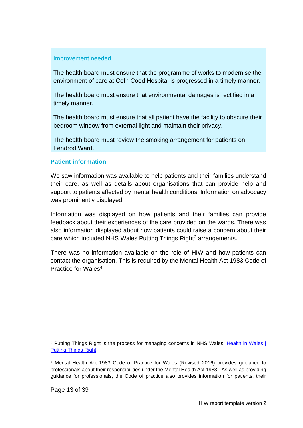#### Improvement needed

The health board must ensure that the programme of works to modernise the environment of care at Cefn Coed Hospital is progressed in a timely manner.

The health board must ensure that environmental damages is rectified in a timely manner.

The health board must ensure that all patient have the facility to obscure their bedroom window from external light and maintain their privacy.

The health board must review the smoking arrangement for patients on Fendrod Ward.

#### **Patient information**

We saw information was available to help patients and their families understand their care, as well as details about organisations that can provide help and support to patients affected by mental health conditions. Information on advocacy was prominently displayed.

Information was displayed on how patients and their families can provide feedback about their experiences of the care provided on the wards. There was also information displayed about how patients could raise a concern about their care which included NHS Wales Putting Things Right<sup>3</sup> arrangements.

There was no information available on the role of HIW and how patients can contact the organisation. This is required by the Mental Health Act 1983 Code of Practice for Wales<sup>4</sup>.

<sup>&</sup>lt;sup>3</sup> Putting Things Right is the process for managing concerns in NHS Wales. Health in Wales | [Putting Things Right](http://www.wales.nhs.uk/ourservices/publicaccountability/puttingthingsright)

<sup>4</sup> Mental Health Act 1983 Code of Practice for Wales (Revised 2016) provides guidance to professionals about their responsibilities under the Mental Health Act 1983. As well as providing guidance for professionals, the Code of practice also provides information for patients, their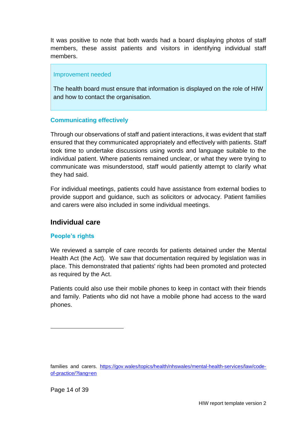It was positive to note that both wards had a board displaying photos of staff members, these assist patients and visitors in identifying individual staff members.

#### Improvement needed

The health board must ensure that information is displayed on the role of HIW and how to contact the organisation.

### **Communicating effectively**

Through our observations of staff and patient interactions, it was evident that staff ensured that they communicated appropriately and effectively with patients. Staff took time to undertake discussions using words and language suitable to the individual patient. Where patients remained unclear, or what they were trying to communicate was misunderstood, staff would patiently attempt to clarify what they had said.

For individual meetings, patients could have assistance from external bodies to provide support and guidance, such as solicitors or advocacy. Patient families and carers were also included in some individual meetings.

### **Individual care**

#### **People's rights**

We reviewed a sample of care records for patients detained under the Mental Health Act (the Act). We saw that documentation required by legislation was in place. This demonstrated that patients' rights had been promoted and protected as required by the Act.

Patients could also use their mobile phones to keep in contact with their friends and family. Patients who did not have a mobile phone had access to the ward phones.

families and carers. [https://gov.wales/topics/health/nhswales/mental-health-services/law/code](https://gov.wales/topics/health/nhswales/mental-health-services/law/code-of-practice/?lang=en)[of-practice/?lang=en](https://gov.wales/topics/health/nhswales/mental-health-services/law/code-of-practice/?lang=en)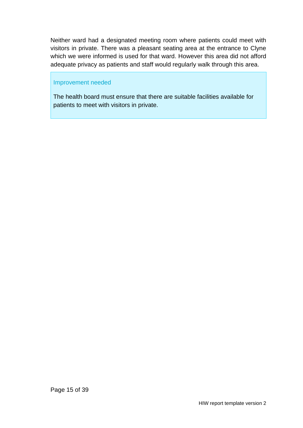Neither ward had a designated meeting room where patients could meet with visitors in private. There was a pleasant seating area at the entrance to Clyne which we were informed is used for that ward. However this area did not afford adequate privacy as patients and staff would regularly walk through this area.

#### Improvement needed

The health board must ensure that there are suitable facilities available for patients to meet with visitors in private.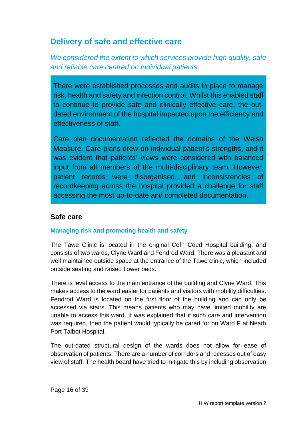## <span id="page-15-0"></span>**Delivery of safe and effective care**

*We considered the extent to which services provide high quality, safe and reliable care centred on individual patients.*

There were established processes and audits in place to manage risk, health and safety and infection control. Whilst this enabled staff to continue to provide safe and clinically effective care, the outdated environment of the hospital impacted upon the efficiency and effectiveness of staff.

Care plan documentation reflected the domains of the Welsh Measure. Care plans drew on individual patient's strengths, and it was evident that patients' views were considered with balanced input from all members of the multi-disciplinary team. However, patient records were disorganised, and inconsistencies of recordkeeping across the hospital provided a challenge for staff accessing the most up-to-date and completed documentation.

### **Safe care**

#### **Managing risk and promoting health and safety**

The Tawe Clinic is located in the original Cefn Coed Hospital building, and consists of two wards, Clyne Ward and Fendrod Ward. There was a pleasant and well maintained outside space at the entrance of the Tawe clinic, which included outside seating and raised flower beds.

There is level access to the main entrance of the building and Clyne Ward. This makes access to the ward easier for patients and visitors with mobility difficulties. Fendrod Ward is located on the first floor of the building and can only be accessed via stairs. This means patients who may have limited mobility are unable to access this ward. It was explained that if such care and intervention was required, then the patient would typically be cared for on Ward F at Neath Port Talbot Hospital.

The out-dated structural design of the wards does not allow for ease of observation of patients. There are a number of corridors and recesses out of easy view of staff. The health board have tried to mitigate this by including observation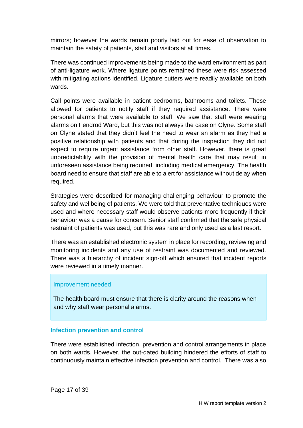mirrors; however the wards remain poorly laid out for ease of observation to maintain the safety of patients, staff and visitors at all times.

There was continued improvements being made to the ward environment as part of anti-ligature work. Where ligature points remained these were risk assessed with mitigating actions identified. Ligature cutters were readily available on both wards.

Call points were available in patient bedrooms, bathrooms and toilets. These allowed for patients to notify staff if they required assistance. There were personal alarms that were available to staff. We saw that staff were wearing alarms on Fendrod Ward, but this was not always the case on Clyne. Some staff on Clyne stated that they didn't feel the need to wear an alarm as they had a positive relationship with patients and that during the inspection they did not expect to require urgent assistance from other staff. However, there is great unpredictability with the provision of mental health care that may result in unforeseen assistance being required, including medical emergency. The health board need to ensure that staff are able to alert for assistance without delay when required.

Strategies were described for managing challenging behaviour to promote the safety and wellbeing of patients. We were told that preventative techniques were used and where necessary staff would observe patients more frequently if their behaviour was a cause for concern. Senior staff confirmed that the safe physical restraint of patients was used, but this was rare and only used as a last resort.

There was an established electronic system in place for recording, reviewing and monitoring incidents and any use of restraint was documented and reviewed. There was a hierarchy of incident sign-off which ensured that incident reports were reviewed in a timely manner.

#### Improvement needed

The health board must ensure that there is clarity around the reasons when and why staff wear personal alarms.

#### **Infection prevention and control**

There were established infection, prevention and control arrangements in place on both wards. However, the out-dated building hindered the efforts of staff to continuously maintain effective infection prevention and control. There was also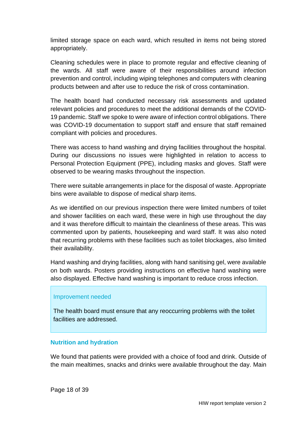limited storage space on each ward, which resulted in items not being stored appropriately.

Cleaning schedules were in place to promote regular and effective cleaning of the wards. All staff were aware of their responsibilities around infection prevention and control, including wiping telephones and computers with cleaning products between and after use to reduce the risk of cross contamination.

The health board had conducted necessary risk assessments and updated relevant policies and procedures to meet the additional demands of the COVID-19 pandemic. Staff we spoke to were aware of infection control obligations. There was COVID-19 documentation to support staff and ensure that staff remained compliant with policies and procedures.

There was access to hand washing and drying facilities throughout the hospital. During our discussions no issues were highlighted in relation to access to Personal Protection Equipment (PPE), including masks and gloves. Staff were observed to be wearing masks throughout the inspection.

There were suitable arrangements in place for the disposal of waste. Appropriate bins were available to dispose of medical sharp items.

As we identified on our previous inspection there were limited numbers of toilet and shower facilities on each ward, these were in high use throughout the day and it was therefore difficult to maintain the cleanliness of these areas. This was commented upon by patients, housekeeping and ward staff. It was also noted that recurring problems with these facilities such as toilet blockages, also limited their availability.

Hand washing and drying facilities, along with hand sanitising gel, were available on both wards. Posters providing instructions on effective hand washing were also displayed. Effective hand washing is important to reduce cross infection.

#### Improvement needed

The health board must ensure that any reoccurring problems with the toilet facilities are addressed.

#### **Nutrition and hydration**

We found that patients were provided with a choice of food and drink. Outside of the main mealtimes, snacks and drinks were available throughout the day. Main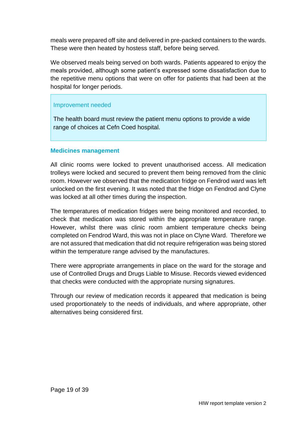meals were prepared off site and delivered in pre-packed containers to the wards. These were then heated by hostess staff, before being served.

We observed meals being served on both wards. Patients appeared to enjoy the meals provided, although some patient's expressed some dissatisfaction due to the repetitive menu options that were on offer for patients that had been at the hospital for longer periods.

### Improvement needed

The health board must review the patient menu options to provide a wide range of choices at Cefn Coed hospital.

#### **Medicines management**

All clinic rooms were locked to prevent unauthorised access. All medication trolleys were locked and secured to prevent them being removed from the clinic room. However we observed that the medication fridge on Fendrod ward was left unlocked on the first evening. It was noted that the fridge on Fendrod and Clyne was locked at all other times during the inspection.

The temperatures of medication fridges were being monitored and recorded, to check that medication was stored within the appropriate temperature range. However, whilst there was clinic room ambient temperature checks being completed on Fendrod Ward, this was not in place on Clyne Ward. Therefore we are not assured that medication that did not require refrigeration was being stored within the temperature range advised by the manufactures.

There were appropriate arrangements in place on the ward for the storage and use of Controlled Drugs and Drugs Liable to Misuse. Records viewed evidenced that checks were conducted with the appropriate nursing signatures.

Through our review of medication records it appeared that medication is being used proportionately to the needs of individuals, and where appropriate, other alternatives being considered first.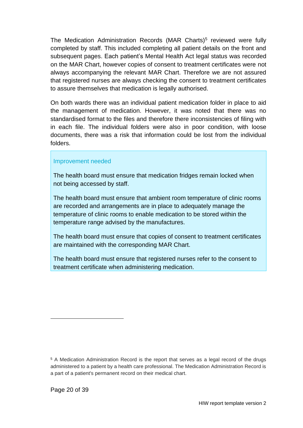The Medication Administration Records (MAR Charts)<sup>5</sup> reviewed were fully completed by staff. This included completing all patient details on the front and subsequent pages. Each patient's Mental Health Act legal status was recorded on the MAR Chart, however copies of consent to treatment certificates were not always accompanying the relevant MAR Chart. Therefore we are not assured that registered nurses are always checking the consent to treatment certificates to assure themselves that medication is legally authorised.

On both wards there was an individual patient medication folder in place to aid the management of medication. However, it was noted that there was no standardised format to the files and therefore there inconsistencies of filing with in each file. The individual folders were also in poor condition, with loose documents, there was a risk that information could be lost from the individual folders.

#### Improvement needed

The health board must ensure that medication fridges remain locked when not being accessed by staff.

The health board must ensure that ambient room temperature of clinic rooms are recorded and arrangements are in place to adequately manage the temperature of clinic rooms to enable medication to be stored within the temperature range advised by the manufactures.

The health board must ensure that copies of consent to treatment certificates are maintained with the corresponding MAR Chart.

The health board must ensure that registered nurses refer to the consent to treatment certificate when administering medication.

<sup>5</sup> A Medication Administration Record is the report that serves as a legal record of the drugs administered to a patient by a health care professional. The Medication Administration Record is a part of a patient's permanent record on their medical chart.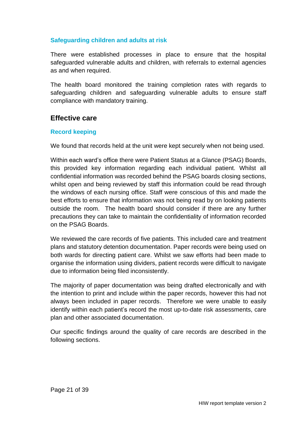#### **Safeguarding children and adults at risk**

There were established processes in place to ensure that the hospital safeguarded vulnerable adults and children, with referrals to external agencies as and when required.

The health board monitored the training completion rates with regards to safeguarding children and safeguarding vulnerable adults to ensure staff compliance with mandatory training.

### **Effective care**

#### **Record keeping**

We found that records held at the unit were kept securely when not being used.

Within each ward's office there were Patient Status at a Glance (PSAG) Boards, this provided key information regarding each individual patient. Whilst all confidential information was recorded behind the PSAG boards closing sections, whilst open and being reviewed by staff this information could be read through the windows of each nursing office. Staff were conscious of this and made the best efforts to ensure that information was not being read by on looking patients outside the room. The health board should consider if there are any further precautions they can take to maintain the confidentiality of information recorded on the PSAG Boards.

We reviewed the care records of five patients. This included care and treatment plans and statutory detention documentation. Paper records were being used on both wards for directing patient care. Whilst we saw efforts had been made to organise the information using dividers, patient records were difficult to navigate due to information being filed inconsistently.

The majority of paper documentation was being drafted electronically and with the intention to print and include within the paper records, however this had not always been included in paper records. Therefore we were unable to easily identify within each patient's record the most up-to-date risk assessments, care plan and other associated documentation.

Our specific findings around the quality of care records are described in the following sections.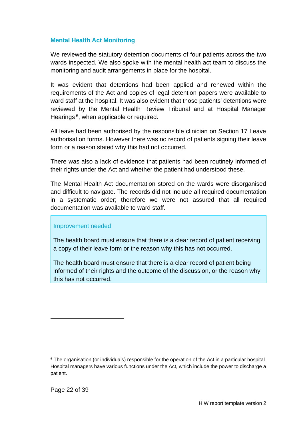#### **Mental Health Act Monitoring**

We reviewed the statutory detention documents of four patients across the two wards inspected. We also spoke with the mental health act team to discuss the monitoring and audit arrangements in place for the hospital.

It was evident that detentions had been applied and renewed within the requirements of the Act and copies of legal detention papers were available to ward staff at the hospital. It was also evident that those patients' detentions were reviewed by the Mental Health Review Tribunal and at Hospital Manager Hearings<sup>6</sup>, when applicable or required.

All leave had been authorised by the responsible clinician on Section 17 Leave authorisation forms. However there was no record of patients signing their leave form or a reason stated why this had not occurred.

There was also a lack of evidence that patients had been routinely informed of their rights under the Act and whether the patient had understood these.

The Mental Health Act documentation stored on the wards were disorganised and difficult to navigate. The records did not include all required documentation in a systematic order; therefore we were not assured that all required documentation was available to ward staff.

#### Improvement needed

The health board must ensure that there is a clear record of patient receiving a copy of their leave form or the reason why this has not occurred.

The health board must ensure that there is a clear record of patient being informed of their rights and the outcome of the discussion, or the reason why this has not occurred.

<sup>&</sup>lt;sup>6</sup> The organisation (or individuals) responsible for the operation of the Act in a particular hospital. Hospital managers have various functions under the Act, which include the power to discharge a patient.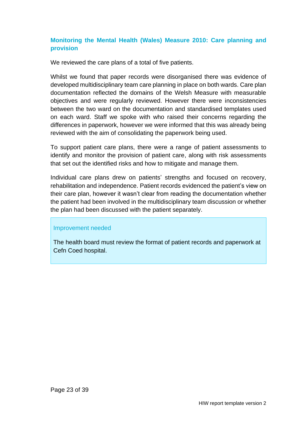### **Monitoring the Mental Health (Wales) Measure 2010: Care planning and provision**

We reviewed the care plans of a total of five patients.

Whilst we found that paper records were disorganised there was evidence of developed multidisciplinary team care planning in place on both wards. Care plan documentation reflected the domains of the Welsh Measure with measurable objectives and were regularly reviewed. However there were inconsistencies between the two ward on the documentation and standardised templates used on each ward. Staff we spoke with who raised their concerns regarding the differences in paperwork, however we were informed that this was already being reviewed with the aim of consolidating the paperwork being used.

To support patient care plans, there were a range of patient assessments to identify and monitor the provision of patient care, along with risk assessments that set out the identified risks and how to mitigate and manage them.

Individual care plans drew on patients' strengths and focused on recovery, rehabilitation and independence. Patient records evidenced the patient's view on their care plan, however it wasn't clear from reading the documentation whether the patient had been involved in the multidisciplinary team discussion or whether the plan had been discussed with the patient separately.

#### Improvement needed

<span id="page-22-0"></span>The health board must review the format of patient records and paperwork at Cefn Coed hospital.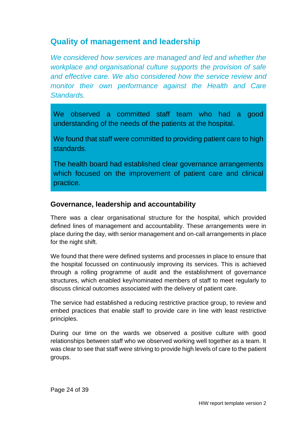## **Quality of management and leadership**

*We considered how services are managed and led and whether the workplace and organisational culture supports the provision of safe and effective care. We also considered how the service review and monitor their own performance against the Health and Care Standards.*

We observed a committed staff team who had a good understanding of the needs of the patients at the hospital.

We found that staff were committed to providing patient care to high standards.

The health board had established clear governance arrangements which focused on the improvement of patient care and clinical practice.

### **Governance, leadership and accountability**

There was a clear organisational structure for the hospital, which provided defined lines of management and accountability. These arrangements were in place during the day, with senior management and on-call arrangements in place for the night shift.

We found that there were defined systems and processes in place to ensure that the hospital focussed on continuously improving its services. This is achieved through a rolling programme of audit and the establishment of governance structures, which enabled key/nominated members of staff to meet regularly to discuss clinical outcomes associated with the delivery of patient care.

The service had established a reducing restrictive practice group, to review and embed practices that enable staff to provide care in line with least restrictive principles.

During our time on the wards we observed a positive culture with good relationships between staff who we observed working well together as a team. It was clear to see that staff were striving to provide high levels of care to the patient groups.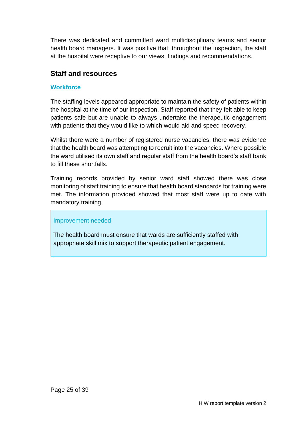There was dedicated and committed ward multidisciplinary teams and senior health board managers. It was positive that, throughout the inspection, the staff at the hospital were receptive to our views, findings and recommendations.

## **Staff and resources**

### **Workforce**

The staffing levels appeared appropriate to maintain the safety of patients within the hospital at the time of our inspection. Staff reported that they felt able to keep patients safe but are unable to always undertake the therapeutic engagement with patients that they would like to which would aid and speed recovery.

Whilst there were a number of registered nurse vacancies, there was evidence that the health board was attempting to recruit into the vacancies. Where possible the ward utilised its own staff and regular staff from the health board's staff bank to fill these shortfalls.

Training records provided by senior ward staff showed there was close monitoring of staff training to ensure that health board standards for training were met. The information provided showed that most staff were up to date with mandatory training.

#### Improvement needed

The health board must ensure that wards are sufficiently staffed with appropriate skill mix to support therapeutic patient engagement.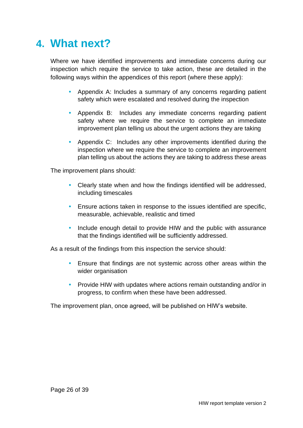# <span id="page-25-0"></span>**4. What next?**

Where we have identified improvements and immediate concerns during our inspection which require the service to take action, these are detailed in the following ways within the appendices of this report (where these apply):

- Appendix A: Includes a summary of any concerns regarding patient safety which were escalated and resolved during the inspection
- Appendix B: Includes any immediate concerns regarding patient safety where we require the service to complete an immediate improvement plan telling us about the urgent actions they are taking
- Appendix C: Includes any other improvements identified during the inspection where we require the service to complete an improvement plan telling us about the actions they are taking to address these areas

The improvement plans should:

- Clearly state when and how the findings identified will be addressed, including timescales
- Ensure actions taken in response to the issues identified are specific, measurable, achievable, realistic and timed
- Include enough detail to provide HIW and the public with assurance that the findings identified will be sufficiently addressed.

As a result of the findings from this inspection the service should:

- Ensure that findings are not systemic across other areas within the wider organisation
- Provide HIW with updates where actions remain outstanding and/or in progress, to confirm when these have been addressed.

The improvement plan, once agreed, will be published on HIW's website.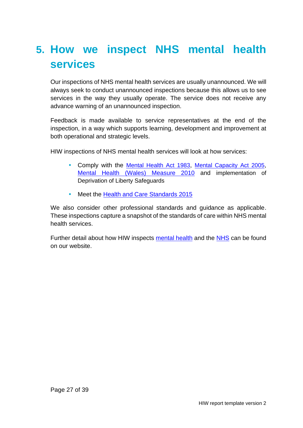# <span id="page-26-0"></span>**5. How we inspect NHS mental health services**

Our inspections of NHS mental health services are usually unannounced. We will always seek to conduct unannounced inspections because this allows us to see services in the way they usually operate. The service does not receive any advance warning of an unannounced inspection.

Feedback is made available to service representatives at the end of the inspection, in a way which supports learning, development and improvement at both operational and strategic levels.

HIW inspections of NHS mental health services will look at how services:

- Comply with the [Mental Health Act 1983](http://www.legislation.gov.uk/ukpga/1983/20/contents), [Mental Capacity Act 2005](http://www.legislation.gov.uk/ukpga/2005/9/contents), [Mental Health \(Wales\) Measure 2010](http://www.legislation.gov.uk/mwa/2010/7/contents) and implementation of Deprivation of Liberty Safeguards
- Meet the [Health and Care Standards 2015](https://gov.wales/sites/default/files/publications/2019-05/health-and-care-standards-april-2015.pdf)

We also consider other professional standards and guidance as applicable. These inspections capture a snapshot of the standards of care within NHS mental health services.

Further detail about how HIW inspects [mental health](https://hiw.org.uk/mental-health-services) and the [NHS](https://hiw.org.uk/sites/default/files/2019-05/170328inspectnhsen_0.pdf) can be found on our website.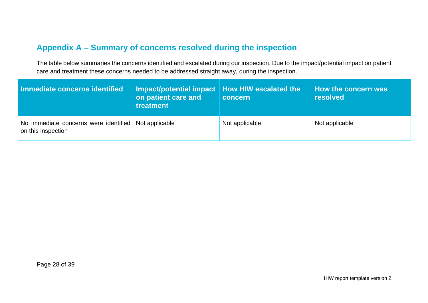## **Appendix A – Summary of concerns resolved during the inspection**

The table below summaries the concerns identified and escalated during our inspection. Due to the impact/potential impact on patient care and treatment these concerns needed to be addressed straight away, during the inspection.

<span id="page-27-0"></span>

| Immediate concerns identified                                              | Impact/potential impact   How HIW escalated the<br>on patient care and<br>treatment | concern        | How the concern was<br><b>resolved</b> |
|----------------------------------------------------------------------------|-------------------------------------------------------------------------------------|----------------|----------------------------------------|
| No immediate concerns were identified Not applicable<br>on this inspection |                                                                                     | Not applicable | Not applicable                         |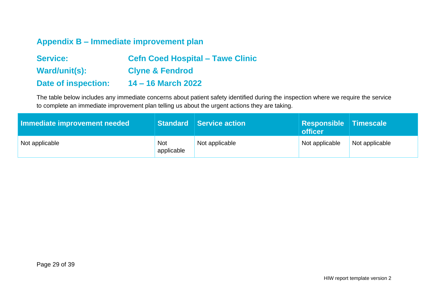## **Appendix B – Immediate improvement plan**

| <b>Service:</b>            | <b>Cefn Coed Hospital – Tawe Clinic</b> |
|----------------------------|-----------------------------------------|
| Ward/unit(s):              | <b>Clyne &amp; Fendrod</b>              |
| <b>Date of inspection:</b> | 14 – 16 March 2022                      |

The table below includes any immediate concerns about patient safety identified during the inspection where we require the service to complete an immediate improvement plan telling us about the urgent actions they are taking.

<span id="page-28-0"></span>

| Immediate improvement needed |                          | Standard Service action | Responsible Timescale<br>officer |                |
|------------------------------|--------------------------|-------------------------|----------------------------------|----------------|
| Not applicable               | <b>Not</b><br>applicable | Not applicable          | Not applicable                   | Not applicable |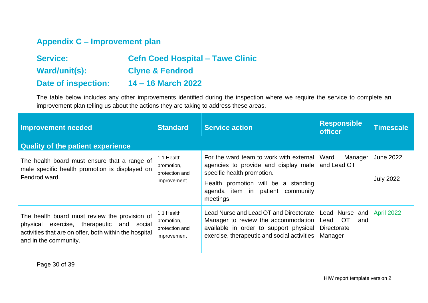## **Appendix C – Improvement plan**

| <b>Service:</b>            | <b>Cefn Coed Hospital - Tawe Clinic</b> |
|----------------------------|-----------------------------------------|
| Ward/unit(s):              | <b>Clyne &amp; Fendrod</b>              |
| <b>Date of inspection:</b> | 14 – 16 March 2022                      |

The table below includes any other improvements identified during the inspection where we require the service to complete an improvement plan telling us about the actions they are taking to address these areas.

<span id="page-29-0"></span>

| <b>Improvement needed</b>                                                                                                                                                        | <b>Standard</b>                                           | <b>Service action</b>                                                                                                                                                                                    | <b>Responsible</b><br><b>officer</b>                                    | <b>Timescale</b>                     |
|----------------------------------------------------------------------------------------------------------------------------------------------------------------------------------|-----------------------------------------------------------|----------------------------------------------------------------------------------------------------------------------------------------------------------------------------------------------------------|-------------------------------------------------------------------------|--------------------------------------|
| <b>Quality of the patient experience</b>                                                                                                                                         |                                                           |                                                                                                                                                                                                          |                                                                         |                                      |
| The health board must ensure that a range of<br>male specific health promotion is displayed on<br>Fendrod ward.                                                                  | 1.1 Health<br>promotion,<br>protection and<br>improvement | For the ward team to work with external<br>agencies to provide and display male<br>specific health promotion.<br>Health promotion will be a standing<br>agenda item in patient<br>community<br>meetings. | Ward<br>Manager<br>and Lead OT                                          | <b>June 2022</b><br><b>July 2022</b> |
| The health board must review the provision of<br>exercise, therapeutic and social<br>physical<br>activities that are on offer, both within the hospital<br>and in the community. | 1.1 Health<br>promotion,<br>protection and<br>improvement | Lead Nurse and Lead OT and Directorate<br>Manager to review the accommodation<br>available in order to support physical<br>exercise, therapeutic and social activities                                   | Lead Nurse<br>and<br><b>OT</b><br>Lead<br>and<br>Directorate<br>Manager | <b>April 2022</b>                    |

Page 30 of 39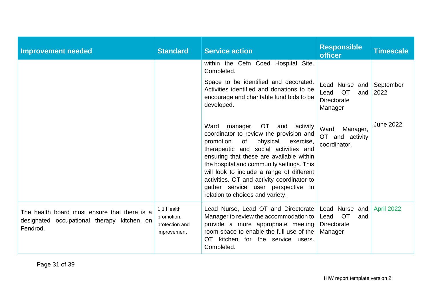| <b>Improvement needed</b>                                                                              | <b>Standard</b>                                           | <b>Service action</b>                                                                                                                                                                                                                                                                                                                                                                                                             | <b>Responsible</b><br><b>officer</b>                                        | <b>Timescale</b>  |
|--------------------------------------------------------------------------------------------------------|-----------------------------------------------------------|-----------------------------------------------------------------------------------------------------------------------------------------------------------------------------------------------------------------------------------------------------------------------------------------------------------------------------------------------------------------------------------------------------------------------------------|-----------------------------------------------------------------------------|-------------------|
|                                                                                                        |                                                           | within the Cefn Coed Hospital Site.<br>Completed.                                                                                                                                                                                                                                                                                                                                                                                 |                                                                             |                   |
|                                                                                                        |                                                           | Space to be identified and decorated.<br>Activities identified and donations to be<br>encourage and charitable fund bids to be<br>developed.                                                                                                                                                                                                                                                                                      | Lead Nurse and<br><b>OT</b><br>Lead<br>and<br>Directorate<br>Manager        | September<br>2022 |
|                                                                                                        |                                                           | Ward<br>manager, OT and<br>activity<br>coordinator to review the provision and<br>physical<br>promotion<br>of<br>exercise,<br>therapeutic and social activities and<br>ensuring that these are available within<br>the hospital and community settings. This<br>will look to include a range of different<br>activities. OT and activity coordinator to<br>gather service user perspective in<br>relation to choices and variety. | Ward<br>Manager,<br>OT and activity<br>coordinator.                         | <b>June 2022</b>  |
| The health board must ensure that there is a<br>designated occupational therapy kitchen on<br>Fendrod. | 1.1 Health<br>promotion,<br>protection and<br>improvement | Lead Nurse, Lead OT and Directorate<br>Manager to review the accommodation to<br>provide a more appropriate meeting<br>room space to enable the full use of the<br>OT<br>kitchen for the service users.<br>Completed.                                                                                                                                                                                                             | Lead Nurse and<br><b>OT</b><br>Lead<br>and<br><b>Directorate</b><br>Manager | April 2022        |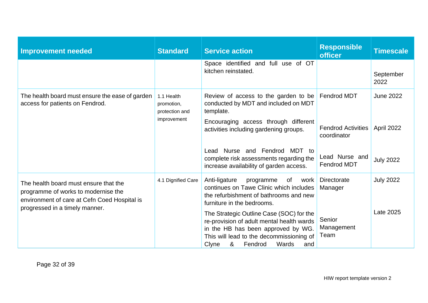| <b>Improvement needed</b>                                                                                                    | <b>Standard</b>                            | <b>Service action</b>                                                                                                                                                                                            | <b>Responsible</b><br><b>officer</b>     | <b>Timescale</b>  |
|------------------------------------------------------------------------------------------------------------------------------|--------------------------------------------|------------------------------------------------------------------------------------------------------------------------------------------------------------------------------------------------------------------|------------------------------------------|-------------------|
|                                                                                                                              |                                            | Space identified and full use of OT<br>kitchen reinstated.                                                                                                                                                       |                                          | September<br>2022 |
| The health board must ensure the ease of garden<br>access for patients on Fendrod.                                           | 1.1 Health<br>promotion,<br>protection and | Review of access to the garden to be<br>conducted by MDT and included on MDT<br>template.                                                                                                                        | <b>Fendrod MDT</b>                       | <b>June 2022</b>  |
|                                                                                                                              | improvement                                | Encouraging access through different<br>activities including gardening groups.                                                                                                                                   | <b>Fendrod Activities</b><br>coordinator | April 2022        |
|                                                                                                                              |                                            | Lead Nurse and Fendrod MDT to<br>complete risk assessments regarding the<br>increase availability of garden access.                                                                                              | Lead Nurse and<br>Fendrod MDT            | <b>July 2022</b>  |
| The health board must ensure that the<br>programme of works to modernise the<br>environment of care at Cefn Coed Hospital is | 4.1 Dignified Care                         | Anti-ligature<br>programme<br>of<br>work<br>continues on Tawe Clinic which includes<br>the refurbishment of bathrooms and new<br>furniture in the bedrooms.                                                      | Directorate<br>Manager                   | <b>July 2022</b>  |
| progressed in a timely manner.                                                                                               |                                            | The Strategic Outline Case (SOC) for the<br>re-provision of adult mental health wards<br>in the HB has been approved by WG.<br>This will lead to the decommissioning of<br>&<br>Wards<br>Fendrod<br>Clyne<br>and | Senior<br>Management<br>Team             | Late 2025         |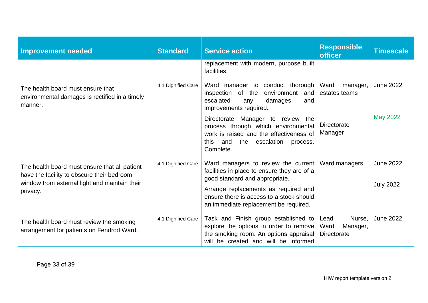| <b>Improvement needed</b>                                                                                                                                | <b>Standard</b>    | <b>Service action</b>                                                                                                                                                                                                                                                                                                        | <b>Responsible</b><br><b>officer</b>                               | <b>Timescale</b>                     |
|----------------------------------------------------------------------------------------------------------------------------------------------------------|--------------------|------------------------------------------------------------------------------------------------------------------------------------------------------------------------------------------------------------------------------------------------------------------------------------------------------------------------------|--------------------------------------------------------------------|--------------------------------------|
|                                                                                                                                                          |                    | replacement with modern, purpose built<br>facilities.                                                                                                                                                                                                                                                                        |                                                                    |                                      |
| The health board must ensure that<br>environmental damages is rectified in a timely<br>manner.                                                           | 4.1 Dignified Care | Ward manager to conduct thorough<br>inspection of the<br>environment<br>and<br>escalated<br>damages<br>any<br>and<br>improvements required.<br>Directorate Manager to review the<br>process through which environmental<br>work is raised and the effectiveness of<br>and<br>the escalation<br>this<br>process.<br>Complete. | Ward<br>manager,<br>estates teams<br><b>Directorate</b><br>Manager | <b>June 2022</b><br><b>May 2022</b>  |
| The health board must ensure that all patient<br>have the facility to obscure their bedroom<br>window from external light and maintain their<br>privacy. | 4.1 Dignified Care | Ward managers to review the current<br>facilities in place to ensure they are of a<br>good standard and appropriate.<br>Arrange replacements as required and<br>ensure there is access to a stock should<br>an immediate replacement be required.                                                                            | Ward managers                                                      | <b>June 2022</b><br><b>July 2022</b> |
| The health board must review the smoking<br>arrangement for patients on Fendrod Ward.                                                                    | 4.1 Dignified Care | Task and Finish group established to<br>explore the options in order to remove<br>the smoking room. An options appraisal<br>will be created and will be informed                                                                                                                                                             | Nurse.<br>Lead<br>Ward<br>Manager,<br>Directorate                  | <b>June 2022</b>                     |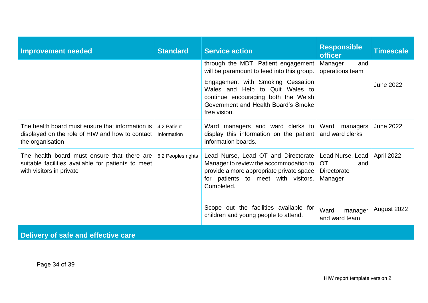| <b>Improvement needed</b>                                                                                                     | <b>Standard</b>            | <b>Service action</b>                                                                                                                                                                                                    | <b>Responsible</b><br><b>officer</b>                           | <b>Timescale</b> |  |  |
|-------------------------------------------------------------------------------------------------------------------------------|----------------------------|--------------------------------------------------------------------------------------------------------------------------------------------------------------------------------------------------------------------------|----------------------------------------------------------------|------------------|--|--|
|                                                                                                                               |                            | through the MDT. Patient engagement<br>will be paramount to feed into this group.                                                                                                                                        | Manager<br>and<br>operations team                              |                  |  |  |
|                                                                                                                               |                            | Engagement with Smoking Cessation<br>Wales and Help to Quit Wales to<br>continue encouraging both the Welsh<br>Government and Health Board's Smoke<br>free vision.                                                       |                                                                | <b>June 2022</b> |  |  |
| The health board must ensure that information is<br>displayed on the role of HIW and how to contact<br>the organisation       | 4.2 Patient<br>Information | Ward managers and ward clerks to<br>display this information on the patient<br>information boards.                                                                                                                       | Ward managers<br>and ward clerks                               | <b>June 2022</b> |  |  |
| The health board must ensure that there are<br>suitable facilities available for patients to meet<br>with visitors in private | 6.2 Peoples rights         | Lead Nurse, Lead OT and Directorate<br>Manager to review the accommodation to<br>provide a more appropriate private space<br>for patients to meet with visitors.<br>Completed.<br>Scope out the facilities available for | Lead Nurse, Lead<br><b>OT</b><br>and<br>Directorate<br>Manager | April 2022       |  |  |
|                                                                                                                               |                            | children and young people to attend.                                                                                                                                                                                     | Ward<br>manager<br>and ward team                               | August 2022      |  |  |
| Delivery of safe and effective care                                                                                           |                            |                                                                                                                                                                                                                          |                                                                |                  |  |  |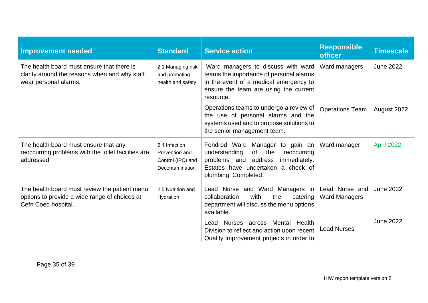| <b>Improvement needed</b>                                                                                             | <b>Standard</b>                                                         | <b>Service action</b>                                                                                                                                                              | <b>Responsible</b><br><b>officer</b>   | <b>Timescale</b> |
|-----------------------------------------------------------------------------------------------------------------------|-------------------------------------------------------------------------|------------------------------------------------------------------------------------------------------------------------------------------------------------------------------------|----------------------------------------|------------------|
| The health board must ensure that there is<br>clarity around the reasons when and why staff<br>wear personal alarms.  | 2.1 Managing risk<br>and promoting<br>health and safety                 | Ward managers to discuss with ward<br>teams the importance of personal alarms<br>in the event of a medical emergency to<br>ensure the team are using the current<br>resource.      | Ward managers                          | <b>June 2022</b> |
|                                                                                                                       |                                                                         | Operations teams to undergo a review of<br>the use of personal alarms and the<br>systems used and to propose solutions to<br>the senior management team.                           | <b>Operations Team</b>                 | August 2022      |
| The health board must ensure that any<br>reoccurring problems with the toilet facilities are<br>addressed.            | 2.4 Infection<br>Prevention and<br>Control (IPC) and<br>Decontamination | Fendrod Ward Manager to gain an<br>of<br>the<br>understanding<br>reoccurring<br>problems and address<br>immediately.<br>Estates have undertaken a check of<br>plumbing. Completed. | Ward manager                           | April 2022       |
| The health board must review the patient menu<br>options to provide a wide range of choices at<br>Cefn Coed hospital. | 2.5 Nutrition and<br>Hydration                                          | Lead Nurse and Ward Managers in<br>with<br>collaboration<br>the<br>catering<br>department will discuss the menu options<br>available.                                              | Lead Nurse and<br><b>Ward Managers</b> | <b>June 2022</b> |
|                                                                                                                       |                                                                         | Lead Nurses across Mental Health<br>Division to reflect and action upon recent<br>Quality improvement projects in order to                                                         | <b>Lead Nurses</b>                     | <b>June 2022</b> |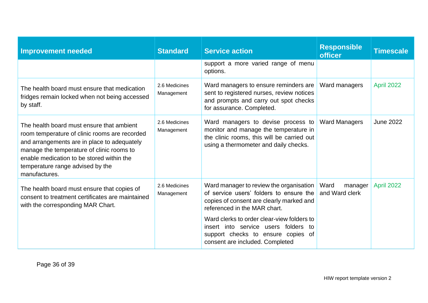| <b>Improvement needed</b>                                                                                                                                                                                                                                                                | <b>Standard</b>             | <b>Service action</b>                                                                                                                                              | <b>Responsible</b><br><b>officer</b> | <b>Timescale</b> |
|------------------------------------------------------------------------------------------------------------------------------------------------------------------------------------------------------------------------------------------------------------------------------------------|-----------------------------|--------------------------------------------------------------------------------------------------------------------------------------------------------------------|--------------------------------------|------------------|
|                                                                                                                                                                                                                                                                                          |                             | support a more varied range of menu<br>options.                                                                                                                    |                                      |                  |
| The health board must ensure that medication<br>fridges remain locked when not being accessed<br>by staff.                                                                                                                                                                               | 2.6 Medicines<br>Management | Ward managers to ensure reminders are<br>sent to registered nurses, review notices<br>and prompts and carry out spot checks<br>for assurance. Completed.           | Ward managers                        | April 2022       |
| The health board must ensure that ambient<br>room temperature of clinic rooms are recorded<br>and arrangements are in place to adequately<br>manage the temperature of clinic rooms to<br>enable medication to be stored within the<br>temperature range advised by the<br>manufactures. | 2.6 Medicines<br>Management | Ward managers to devise process to<br>monitor and manage the temperature in<br>the clinic rooms, this will be carried out<br>using a thermometer and daily checks. | <b>Ward Managers</b>                 | <b>June 2022</b> |
| The health board must ensure that copies of<br>consent to treatment certificates are maintained<br>with the corresponding MAR Chart.                                                                                                                                                     | 2.6 Medicines<br>Management | Ward manager to review the organisation<br>of service users' folders to ensure the<br>copies of consent are clearly marked and<br>referenced in the MAR chart.     | Ward<br>manager<br>and Ward clerk    | April 2022       |
|                                                                                                                                                                                                                                                                                          |                             | Ward clerks to order clear-view folders to<br>insert into service users folders to<br>support checks to ensure copies of<br>consent are included. Completed        |                                      |                  |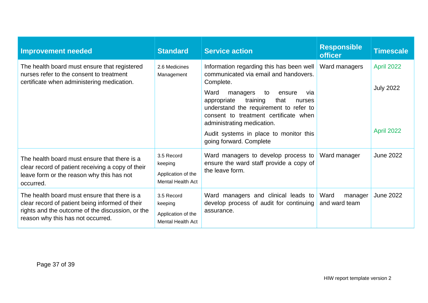| <b>Improvement needed</b>                                                                                                                                                                | <b>Standard</b>                                                         | <b>Service action</b>                                                                                                                                                                                                                                                                                                                                                        | <b>Responsible</b><br><b>officer</b> | <b>Timescale</b>                             |
|------------------------------------------------------------------------------------------------------------------------------------------------------------------------------------------|-------------------------------------------------------------------------|------------------------------------------------------------------------------------------------------------------------------------------------------------------------------------------------------------------------------------------------------------------------------------------------------------------------------------------------------------------------------|--------------------------------------|----------------------------------------------|
| The health board must ensure that registered<br>nurses refer to the consent to treatment<br>certificate when administering medication.                                                   | 2.6 Medicines<br>Management                                             | Information regarding this has been well<br>communicated via email and handovers.<br>Complete.<br>Ward<br>managers<br>to<br>ensure<br>via<br>training<br>that<br>appropriate<br>nurses<br>understand the requirement to refer to<br>consent to treatment certificate when<br>administrating medication.<br>Audit systems in place to monitor this<br>going forward. Complete | Ward managers                        | April 2022<br><b>July 2022</b><br>April 2022 |
| The health board must ensure that there is a<br>clear record of patient receiving a copy of their<br>leave form or the reason why this has not<br>occurred.                              | 3.5 Record<br>keeping<br>Application of the<br><b>Mental Health Act</b> | Ward managers to develop process to<br>ensure the ward staff provide a copy of<br>the leave form.                                                                                                                                                                                                                                                                            | Ward manager                         | <b>June 2022</b>                             |
| The health board must ensure that there is a<br>clear record of patient being informed of their<br>rights and the outcome of the discussion, or the<br>reason why this has not occurred. | 3.5 Record<br>keeping<br>Application of the<br><b>Mental Health Act</b> | Ward managers and clinical leads to<br>develop process of audit for continuing<br>assurance.                                                                                                                                                                                                                                                                                 | Ward<br>manager<br>and ward team     | <b>June 2022</b>                             |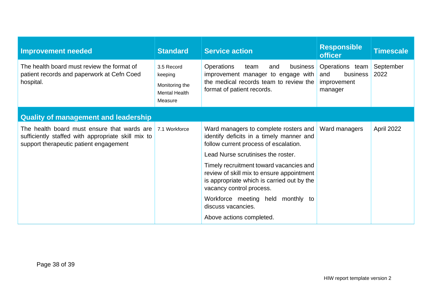| <b>Improvement needed</b>                                                                                                                   | <b>Standard</b>                                                            | <b>Service action</b>                                                                                                                                                                                                                                                                                                                                                                                                     | <b>Responsible</b><br><b>officer</b>                         | <b>Timescale</b>  |
|---------------------------------------------------------------------------------------------------------------------------------------------|----------------------------------------------------------------------------|---------------------------------------------------------------------------------------------------------------------------------------------------------------------------------------------------------------------------------------------------------------------------------------------------------------------------------------------------------------------------------------------------------------------------|--------------------------------------------------------------|-------------------|
| The health board must review the format of<br>patient records and paperwork at Cefn Coed<br>hospital.                                       | 3.5 Record<br>keeping<br>Monitoring the<br><b>Mental Health</b><br>Measure | <b>Operations</b><br>team<br>business<br>and<br>improvement manager to engage with<br>the medical records team to review the<br>format of patient records.                                                                                                                                                                                                                                                                | Operations team<br>business<br>and<br>improvement<br>manager | September<br>2022 |
| <b>Quality of management and leadership</b>                                                                                                 |                                                                            |                                                                                                                                                                                                                                                                                                                                                                                                                           |                                                              |                   |
| The health board must ensure that wards are<br>sufficiently staffed with appropriate skill mix to<br>support therapeutic patient engagement | 7.1 Workforce                                                              | Ward managers to complete rosters and<br>identify deficits in a timely manner and<br>follow current process of escalation.<br>Lead Nurse scrutinises the roster.<br>Timely recruitment toward vacancies and<br>review of skill mix to ensure appointment<br>is appropriate which is carried out by the<br>vacancy control process.<br>Workforce meeting held monthly to<br>discuss vacancies.<br>Above actions completed. | Ward managers                                                | April 2022        |